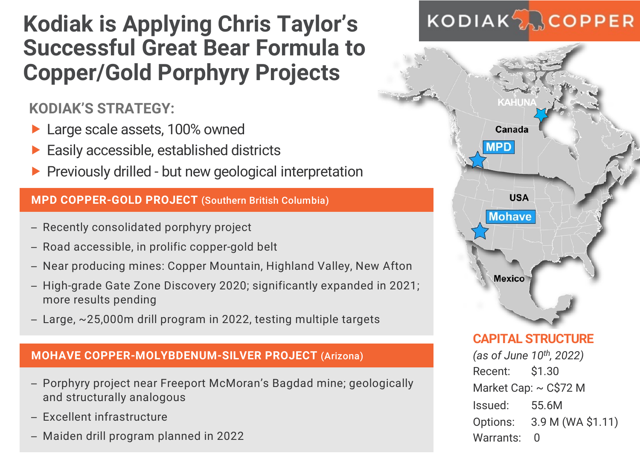## **Kodiak is Applying Chris Taylor's Successful Great Bear Formula to Copper/Gold Porphyry Projects**

**KODIAK'S STRATEGY:**

- ▶ Large scale assets, 100% owned
- Easily accessible, established districts
- $\blacktriangleright$  Previously drilled but new geological interpretation

#### **MPD COPPER-GOLD PROJECT** (Southern British Columbia)

- Recently consolidated porphyry project
- Road accessible, in prolific copper-gold belt
- Near producing mines: Copper Mountain, Highland Valley, New Afton
- High-grade Gate Zone Discovery 2020; significantly expanded in 2021; more results pending
- Large, ~25,000m drill program in 2022, testing multiple targets

#### **MOHAVE COPPER-MOLYBDENUM-SILVER PROJECT** (Arizona)

- Porphyry project near Freeport McMoran's Bagdad mine; geologically and structurally analogous
- Excellent infrastructure
- Maiden drill program planned in 2022

# **KODIAK<sub>2</sub>**COPPER



Options: 3.9 M (WA \$1.11)

Warrants: 0